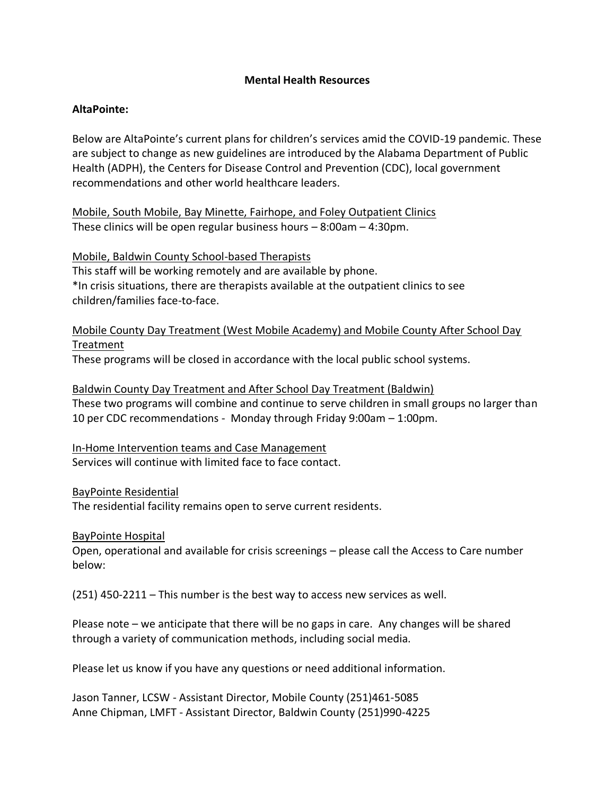## **Mental Health Resources**

## **AltaPointe:**

Below are AltaPointe's current plans for children's services amid the COVID-19 pandemic. These are subject to change as new guidelines are introduced by the Alabama Department of Public Health (ADPH), the Centers for Disease Control and Prevention (CDC), local government recommendations and other world healthcare leaders.

Mobile, South Mobile, Bay Minette, Fairhope, and Foley Outpatient Clinics These clinics will be open regular business hours – 8:00am – 4:30pm.

Mobile, Baldwin County School-based Therapists

This staff will be working remotely and are available by phone. \*In crisis situations, there are therapists available at the outpatient clinics to see children/families face-to-face.

Mobile County Day Treatment (West Mobile Academy) and Mobile County After School Day Treatment

These programs will be closed in accordance with the local public school systems.

Baldwin County Day Treatment and After School Day Treatment (Baldwin) These two programs will combine and continue to serve children in small groups no larger than 10 per CDC recommendations - Monday through Friday 9:00am – 1:00pm.

In-Home Intervention teams and Case Management Services will continue with limited face to face contact.

BayPointe Residential

The residential facility remains open to serve current residents.

BayPointe Hospital

Open, operational and available for crisis screenings – please call the Access to Care number below:

(251) 450-2211 – This number is the best way to access new services as well.

Please note – we anticipate that there will be no gaps in care. Any changes will be shared through a variety of communication methods, including social media.

Please let us know if you have any questions or need additional information.

Jason Tanner, LCSW - Assistant Director, Mobile County (251)461-5085 Anne Chipman, LMFT - Assistant Director, Baldwin County (251)990-4225